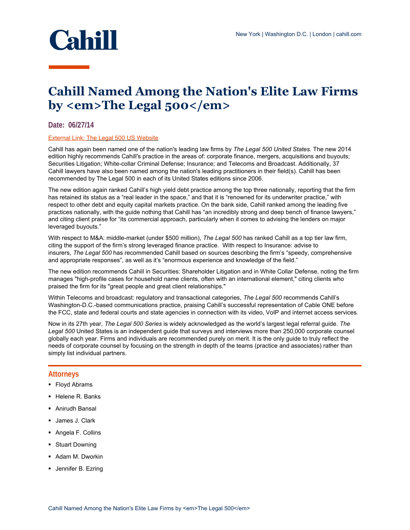

## **Cahill Named Among the Nation's Elite Law Firms by <em>The Legal 500</em>**

## **Date: 06/27/14**

## External Link: [The Legal 500 US Website](http://www.legal500.com/firms/50179/52125)

Cahill has again been named one of the nation's leading law firms by *The Legal 500 United States.* The new 2014 edition highly recommends Cahill's practice in the areas of: corporate finance, mergers, acquisitions and buyouts; Securities Litigation; White-collar Criminal Defense; Insurance; and Telecoms and Broadcast. Additionally, 37 Cahill lawyers have also been named among the nation's leading practitioners in their field(s). Cahill has been recommended by The Legal 500 in each of its United States editions since 2006.

The new edition again ranked Cahill's high yield debt practice among the top three nationally, reporting that the firm has retained its status as a "real leader in the space," and that it is "renowned for its underwriter practice," with respect to other debt and equity capital markets practice. On the bank side, Cahill ranked among the leading five practices nationally, with the guide nothing that Cahill has "an incredibly strong and deep bench of finance lawyers," and citing client praise for "its commercial approach, particularly when it comes to advising the lenders on major leveraged buyouts."

With respect to M&A: middle-market (under \$500 million), *The Legal 500* has ranked Cahill as a top tier law firm, citing the support of the firm's strong leveraged finance practice. With respect to Insurance: advise to insurers, *The Legal 500* has recommended Cahill based on sources describing the firm's "speedy, comprehensive and appropriate responses", as well as it's "enormous experience and knowledge of the field."

The new edition recommends Cahill in Securities: Shareholder Litigation and in White Collar Defense, noting the firm manages "high-profile cases for household name clients, often with an international element," citing clients who praised the firm for its "great people and great client relationships."

Within Telecoms and broadcast: regulatory and transactional categories, *The Legal 500* recommends Cahill's Washington-D.C.-based communications practice, praising Cahill's successful representation of Cable ONE before the FCC, state and federal courts and state agencies in connection with its video, VoIP and internet access services.

Now in its 27th year, *The Legal 500 Series* is widely acknowledged as the world's largest legal referral guide. *The Legal 500* United States is an independent guide that surveys and interviews more than 250,000 corporate counsel globally each year. Firms and individuals are recommended purely on merit. It is the only guide to truly reflect the needs of corporate counsel by focusing on the strength in depth of the teams (practice and associates) rather than simply list individual partners.

## **Attorneys**

- Floyd Abrams
- Helene R. Banks
- Anirudh Bansal
- James J. Clark
- Angela F. Collins
- **Stuart Downing**
- Adam M. Dworkin
- **Jennifer B. Ezring**